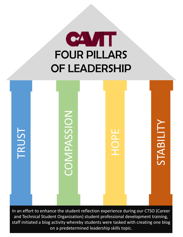



In an effort to enhance the student reflection experience during our CTSO (Career and Technical Student Organization) student professional development training, staff initiated a blog activity whereby students were tasked with creating one blog on a predetermined leadership skills topic.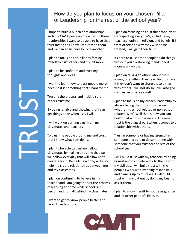I hope to build a bunch of relationships with my CAVIT peers and teacher! In these relationships I want to be able to have that trust factor, so I know I can rely on them and we can all be here for one another.

I plan to focus on this pillar by forcing myself to trust others and myself more.

I plan to be confident and trust my thoughts and ideas.

I want to learn how to trust people more because it is something that's hard for me.

Trusting the process and making sure others trust me.

By being reliable and showing that I can get things done when I say I will.

I will work on earning trust from my classmates and teachers.

To trust the people around me and trust that I know what I am doing.

I plan to be able to trust my fellow classmates by making a routine that we will follow everyday that will allow us to create a bond. Being trustworthy will also help me create relationships between me and my classmates.

I plan on continuing to believe in my teacher and I am going to trust the process of learning at home while school is inperson and not fall behind my classmates.

I want to get to know people better and know I can trust them.

I plan on focusing on trust this school year by respecting everyone's, including my teachers', opinion, religion, and beliefs. If I treat others the way they wish to be treated, I will gain their trust.

Its hard to trust other people to do things without you overlooking it and I need more work on that.

I plan on talking to others about their issues, or anything they're willing to share. If they don't want to share those things with others, I will not do so. I will also give my trust in others as well.

I plan to focus on my chosen leadership by always telling the truth to someone whether its school related or non-school related. Why? Well that is how you can build trust with someone and I believe trust is the biggest part when it comes to a relationship with others.

Trust in someone or having strength in someone and able to do something with someone that you trust for the rest of the school year.

I will build trust with my teachers by being honest and complete work to the best of my abilities. I will build trust with the people I work with by being responsible and owning up to mistakes. I will build trust with my patient by doing my best to assist them.

I plan to allow myself to not be as guarded and let other people's ideas in.



# TRUST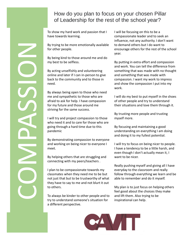To show my hard work and passion that I have towards learning.

By trying to be more emotionally available for other people.

By being kind to those around me and do my best to be selfless.

By acting unselfishly and volunteering online and later if I can in-person to give back to the community and to those in need.

By always being open to those who need me and sympathetic to those who are afraid to ask for help. I have compassion for my future and those around me striving for the same success.

I will try and project compassion to those who need it and to care for those who are going through a hard time due to this pandemic

By demonstrating compassion to everyone and working on being nicer to everyone I meet.

By helping others that are struggling and connecting with my peers/teachers .

I plan to be compassionate towards my classmates when they need me to be but not just that but to be trustworthy of what they have to say to me and not blurt it out to others.

To always be kinder to other people and to try to understand someone's situation for a different perspective.

I will be focusing on this to be a compassionate leader and to seek an influence, not any authority. I don't want to demand others but I do want to encourage others for the rest of the school year.

By putting in extra effort and compassion and work. You can tell the difference from something that was made with no thought and something that was made with compassion. I want my work to impress and show the compassion I put into my work.

I will do my best to put myself in the shoes of other people and try to understand their situations and love them through it.

By trusting more people and trusting myself more.

By focusing and maintaining a good understanding on everything I am doing and doing it to my fullest potential.

I will try to focus on being nicer to people. I have a tendency to be a little harsh, and even though I don't actually mean it, I want to be nicer.

Really pushing myself and giving all I have everyday to the classroom and really follow through everything we learn and be able to remember and do it myself.

My plan is to just focus on helping others feel good about the choices they make and lift them. Also trying to be inspirational can help.



By the By also<br>
my b By ack<br>
my b By ack<br>
my b By ack<br>
minimed<br>
mead<br>
mead<br>
mead<br>
mead<br>
strivi unil<br>
going<br>
pand<br>
By de and y<br>
mand<br>
mead<br>
mead<br>
mead<br>
mead<br>
mead<br>
mead<br>
mead<br>
mead<br>
mead<br>
mead<br>
mead<br>
mead<br>
mead<br>
mead<br>
mead<br>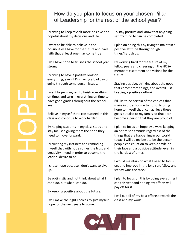By trying to keep myself more positive and hopeful about my decisions and life.

I want to be able to believe in the possibilities I have for the future and have faith that at least one may come true.

I will have hope to finishes the school year strong.

By trying to have a positive look on everything, even if I'm having a bad day or going through some person issues.

I want hope in myself to finish everything on time, and turn in everything on time to have good grades throughout the school year.

Believe in myself that I can succeed in this class and continue to work harder.

By helping students in my class study and stay focused giving them the hope they need to move forward.

By trusting my instincts and reminding myself that with hope comes the trust and creativity I need in order to become the leader I desire to be.

I chose hope because I don't want to give up.

Be optimistic and not think about what I can't do, but what I can do.

By keeping positive about the future.

I will make the right choices to give myself hope for the next years to come.

To stay positive and know that anything I set my mind to can ne completed.

I plan on doing this by trying to maintain a positive attitude through tough times/hardships.

By working hard for the future of my fellow peers and cheering on the HOSA members excitement and visions for the future.

Staying positive, thinking about the good that comes from things, and overall just keeping a positive outlook.

I'd like to be certain of the choices that I make in order for me to not only bring hope to myself that I can achieve these goals but also to my family so that I can become a person that they are proud of.

I plan to focus on hope by always keeping an optimistic attitude regardless of the things that are happening in our world today. I will do my best to be the person people can count on to keep a smile on their face and a positive attitude, even in the hardest of times.

I would maintain on what I need to focus on, and improve in the long run. "Slow and steady wins the race."

I plan to focus on this by doing everything I can this year and hoping my efforts will pay off for it.

I will put all of my best efforts towards the class and my work.



## For the city of the city of the city of the city of the city of the city of the city of the city of the city of the city of the city of the city of the city of the city of the city of the city of the city of the city of th